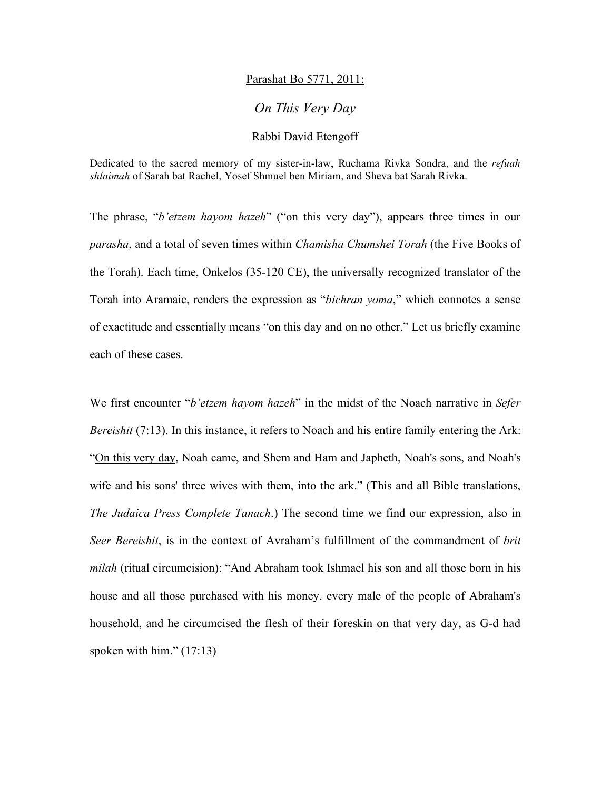## Parashat Bo 5771, 2011:

## *On This Very Day*

## Rabbi David Etengoff

Dedicated to the sacred memory of my sister-in-law, Ruchama Rivka Sondra, and the *refuah shlaimah* of Sarah bat Rachel, Yosef Shmuel ben Miriam, and Sheva bat Sarah Rivka.

The phrase, "*b'etzem hayom hazeh*" ("on this very day"), appears three times in our *parasha*, and a total of seven times within *Chamisha Chumshei Torah* (the Five Books of the Torah). Each time, Onkelos (35-120 CE), the universally recognized translator of the Torah into Aramaic, renders the expression as "*bichran yoma*," which connotes a sense of exactitude and essentially means "on this day and on no other." Let us briefly examine each of these cases.

We first encounter "*b'etzem hayom hazeh*" in the midst of the Noach narrative in *Sefer Bereishit* (7:13). In this instance, it refers to Noach and his entire family entering the Ark: "On this very day, Noah came, and Shem and Ham and Japheth, Noah's sons, and Noah's wife and his sons' three wives with them, into the ark." (This and all Bible translations, *The Judaica Press Complete Tanach*.) The second time we find our expression, also in *Seer Bereishit*, is in the context of Avraham's fulfillment of the commandment of *brit milah* (ritual circumcision): "And Abraham took Ishmael his son and all those born in his house and all those purchased with his money, every male of the people of Abraham's household, and he circumcised the flesh of their foreskin on that very day, as G-d had spoken with him."  $(17:13)$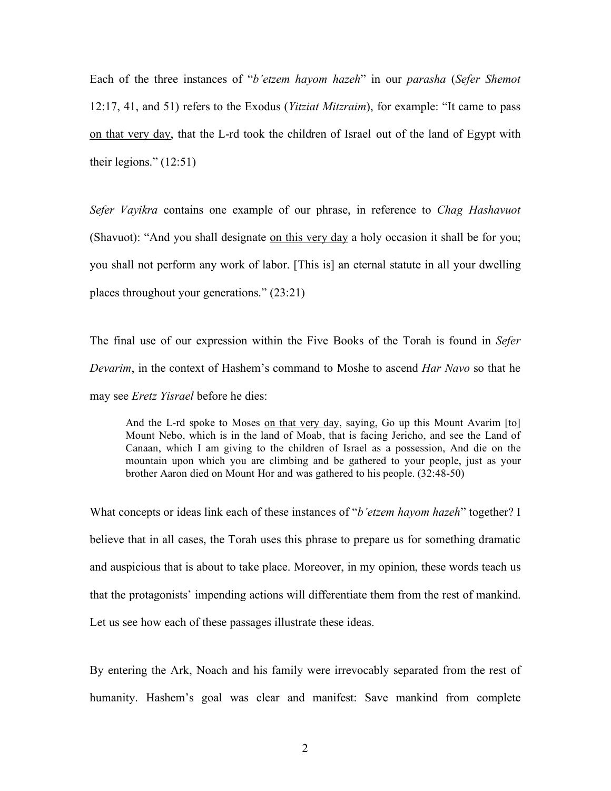Each of the three instances of "*b'etzem hayom hazeh*" in our *parasha* (*Sefer Shemot*  12:17, 41, and 51) refers to the Exodus (*Yitziat Mitzraim*), for example: "It came to pass on that very day, that the L-rd took the children of Israel out of the land of Egypt with their legions."  $(12:51)$ 

*Sefer Vayikra* contains one example of our phrase, in reference to *Chag Hashavuot*  (Shavuot): "And you shall designate on this very day a holy occasion it shall be for you; you shall not perform any work of labor. [This is] an eternal statute in all your dwelling places throughout your generations." (23:21)

The final use of our expression within the Five Books of the Torah is found in *Sefer Devarim*, in the context of Hashem's command to Moshe to ascend *Har Navo* so that he may see *Eretz Yisrael* before he dies:

And the L-rd spoke to Moses on that very day, saying, Go up this Mount Avarim [to] Mount Nebo, which is in the land of Moab, that is facing Jericho, and see the Land of Canaan, which I am giving to the children of Israel as a possession, And die on the mountain upon which you are climbing and be gathered to your people, just as your brother Aaron died on Mount Hor and was gathered to his people. (32:48-50)

What concepts or ideas link each of these instances of "*b'etzem hayom hazeh*" together? I believe that in all cases, the Torah uses this phrase to prepare us for something dramatic and auspicious that is about to take place. Moreover, in my opinion, these words teach us that the protagonists' impending actions will differentiate them from the rest of mankind. Let us see how each of these passages illustrate these ideas.

By entering the Ark, Noach and his family were irrevocably separated from the rest of humanity. Hashem's goal was clear and manifest: Save mankind from complete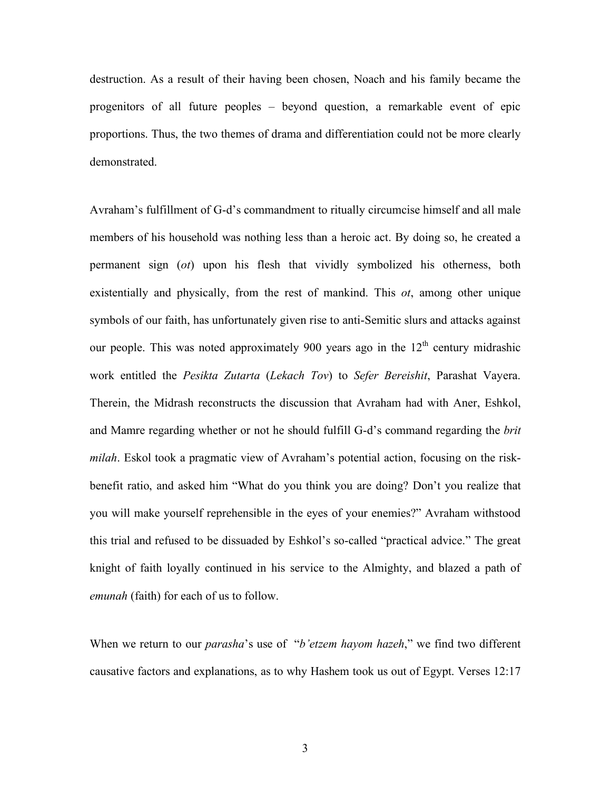destruction. As a result of their having been chosen, Noach and his family became the progenitors of all future peoples – beyond question, a remarkable event of epic proportions. Thus, the two themes of drama and differentiation could not be more clearly demonstrated.

Avraham's fulfillment of G-d's commandment to ritually circumcise himself and all male members of his household was nothing less than a heroic act. By doing so, he created a permanent sign (*ot*) upon his flesh that vividly symbolized his otherness, both existentially and physically, from the rest of mankind. This *ot*, among other unique symbols of our faith, has unfortunately given rise to anti-Semitic slurs and attacks against our people. This was noted approximately 900 years ago in the  $12<sup>th</sup>$  century midrashic work entitled the *Pesikta Zutarta* (*Lekach Tov*) to *Sefer Bereishit*, Parashat Vayera. Therein, the Midrash reconstructs the discussion that Avraham had with Aner, Eshkol, and Mamre regarding whether or not he should fulfill G-d's command regarding the *brit milah*. Eskol took a pragmatic view of Avraham's potential action, focusing on the riskbenefit ratio, and asked him "What do you think you are doing? Don't you realize that you will make yourself reprehensible in the eyes of your enemies?" Avraham withstood this trial and refused to be dissuaded by Eshkol's so-called "practical advice." The great knight of faith loyally continued in his service to the Almighty, and blazed a path of *emunah* (faith) for each of us to follow.

When we return to our *parasha*'s use of "*b'etzem hayom hazeh*," we find two different causative factors and explanations, as to why Hashem took us out of Egypt. Verses 12:17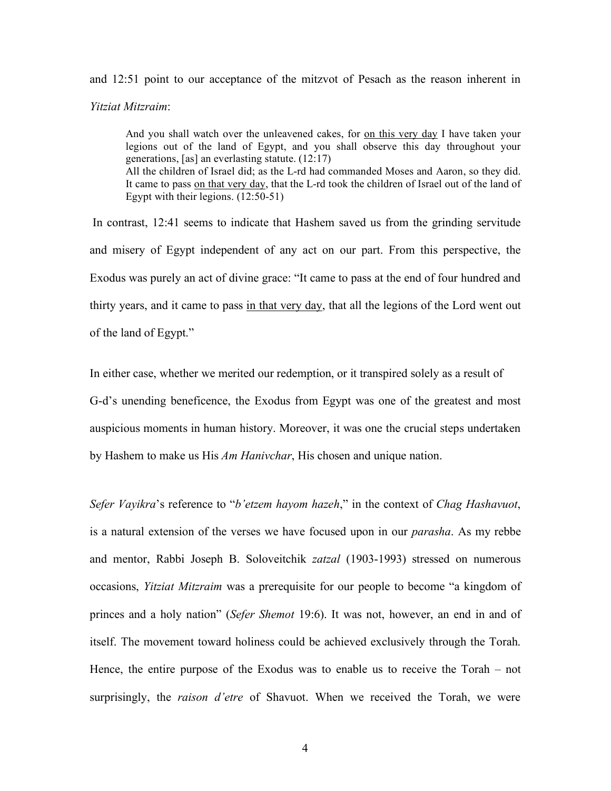and 12:51 point to our acceptance of the mitzvot of Pesach as the reason inherent in *Yitziat Mitzraim*:

And you shall watch over the unleavened cakes, for on this very day I have taken your legions out of the land of Egypt, and you shall observe this day throughout your generations, [as] an everlasting statute. (12:17) All the children of Israel did; as the L-rd had commanded Moses and Aaron, so they did. It came to pass on that very day, that the L-rd took the children of Israel out of the land of Egypt with their legions. (12:50-51)

 In contrast, 12:41 seems to indicate that Hashem saved us from the grinding servitude and misery of Egypt independent of any act on our part. From this perspective, the Exodus was purely an act of divine grace: "It came to pass at the end of four hundred and thirty years, and it came to pass in that very day, that all the legions of the Lord went out of the land of Egypt."

In either case, whether we merited our redemption, or it transpired solely as a result of G-d's unending beneficence, the Exodus from Egypt was one of the greatest and most auspicious moments in human history. Moreover, it was one the crucial steps undertaken by Hashem to make us His *Am Hanivchar*, His chosen and unique nation.

*Sefer Vayikra*'s reference to "*b'etzem hayom hazeh*," in the context of *Chag Hashavuot*, is a natural extension of the verses we have focused upon in our *parasha*. As my rebbe and mentor, Rabbi Joseph B. Soloveitchik *zatzal* (1903-1993) stressed on numerous occasions, *Yitziat Mitzraim* was a prerequisite for our people to become "a kingdom of princes and a holy nation" (*Sefer Shemot* 19:6). It was not, however, an end in and of itself. The movement toward holiness could be achieved exclusively through the Torah. Hence, the entire purpose of the Exodus was to enable us to receive the Torah – not surprisingly, the *raison d'etre* of Shavuot. When we received the Torah, we were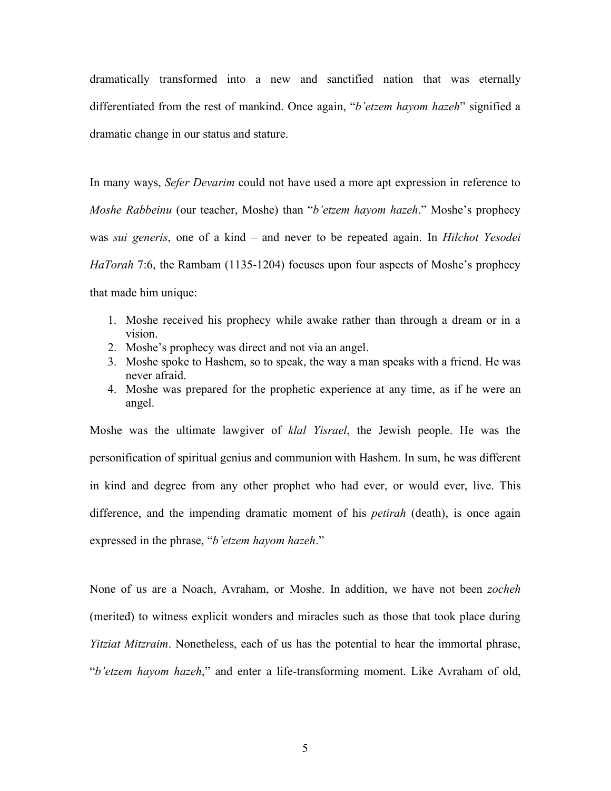dramatically transformed into a new and sanctified nation that was eternally differentiated from the rest of mankind. Once again, "*b'etzem hayom hazeh*" signified a dramatic change in our status and stature.

In many ways, *Sefer Devarim* could not have used a more apt expression in reference to *Moshe Rabbeinu* (our teacher, Moshe) than "*b'etzem hayom hazeh*." Moshe's prophecy was *sui generis*, one of a kind – and never to be repeated again. In *Hilchot Yesodei HaTorah* 7:6, the Rambam (1135-1204) focuses upon four aspects of Moshe's prophecy that made him unique:

- 1. Moshe received his prophecy while awake rather than through a dream or in a vision.
- 2. Moshe's prophecy was direct and not via an angel.
- 3. Moshe spoke to Hashem, so to speak, the way a man speaks with a friend. He was never afraid.
- 4. Moshe was prepared for the prophetic experience at any time, as if he were an angel.

Moshe was the ultimate lawgiver of *klal Yisrael*, the Jewish people. He was the personification of spiritual genius and communion with Hashem. In sum, he was different in kind and degree from any other prophet who had ever, or would ever, live. This difference, and the impending dramatic moment of his *petirah* (death), is once again expressed in the phrase, "*b'etzem hayom hazeh*."

None of us are a Noach, Avraham, or Moshe. In addition, we have not been *zocheh* (merited) to witness explicit wonders and miracles such as those that took place during *Yitziat Mitzraim*. Nonetheless, each of us has the potential to hear the immortal phrase, "*b'etzem hayom hazeh*," and enter a life-transforming moment. Like Avraham of old,